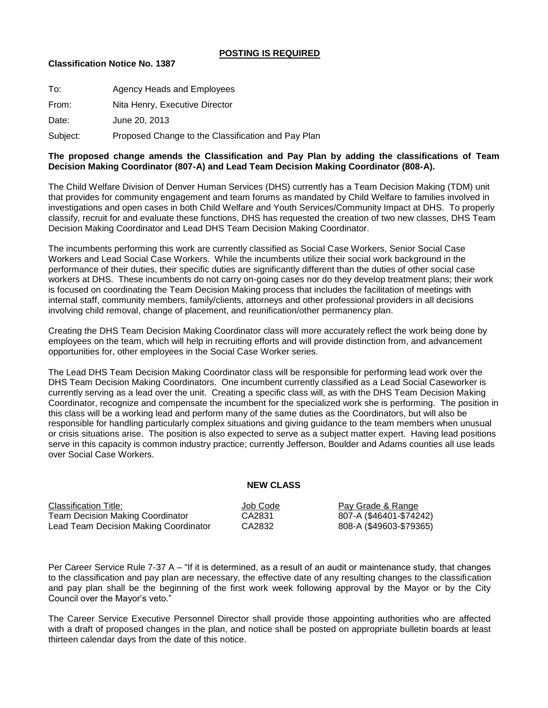## **POSTING IS REQUIRED**

## **Classification Notice No. 1387**

| To:      | Agency Heads and Employees                         |
|----------|----------------------------------------------------|
| From:    | Nita Henry, Executive Director                     |
| Date:    | June 20, 2013                                      |
| Subject: | Proposed Change to the Classification and Pay Plan |

# **The proposed change amends the Classification and Pay Plan by adding the classifications of Team Decision Making Coordinator (807-A) and Lead Team Decision Making Coordinator (808-A).**

The Child Welfare Division of Denver Human Services (DHS) currently has a Team Decision Making (TDM) unit that provides for community engagement and team forums as mandated by Child Welfare to families involved in investigations and open cases in both Child Welfare and Youth Services/Community Impact at DHS. To properly classify, recruit for and evaluate these functions, DHS has requested the creation of two new classes, DHS Team Decision Making Coordinator and Lead DHS Team Decision Making Coordinator.

The incumbents performing this work are currently classified as Social Case Workers, Senior Social Case Workers and Lead Social Case Workers. While the incumbents utilize their social work background in the performance of their duties, their specific duties are significantly different than the duties of other social case workers at DHS. These incumbents do not carry on-going cases nor do they develop treatment plans; their work is focused on coordinating the Team Decision Making process that includes the facilitation of meetings with internal staff, community members, family/clients, attorneys and other professional providers in all decisions involving child removal, change of placement, and reunification/other permanency plan.

Creating the DHS Team Decision Making Coordinator class will more accurately reflect the work being done by employees on the team, which will help in recruiting efforts and will provide distinction from, and advancement opportunities for, other employees in the Social Case Worker series.

The Lead DHS Team Decision Making Coordinator class will be responsible for performing lead work over the DHS Team Decision Making Coordinators. One incumbent currently classified as a Lead Social Caseworker is currently serving as a lead over the unit. Creating a specific class will, as with the DHS Team Decision Making Coordinator, recognize and compensate the incumbent for the specialized work she is performing. The position in this class will be a working lead and perform many of the same duties as the Coordinators, but will also be responsible for handling particularly complex situations and giving guidance to the team members when unusual or crisis situations arise. The position is also expected to serve as a subject matter expert. Having lead positions serve in this capacity is common industry practice; currently Jefferson, Boulder and Adams counties all use leads over Social Case Workers.

## **NEW CLASS**

| Classification Title:                 | Job Code | Pay Grade & Range       |
|---------------------------------------|----------|-------------------------|
| Team Decision Making Coordinator      | CA2831   | 807-A (\$46401-\$74242) |
| Lead Team Decision Making Coordinator | CA2832   | 808-A (\$49603-\$79365) |

Per Career Service Rule 7-37 A – "If it is determined, as a result of an audit or maintenance study, that changes to the classification and pay plan are necessary, the effective date of any resulting changes to the classification and pay plan shall be the beginning of the first work week following approval by the Mayor or by the City Council over the Mayor's veto."

The Career Service Executive Personnel Director shall provide those appointing authorities who are affected with a draft of proposed changes in the plan, and notice shall be posted on appropriate bulletin boards at least thirteen calendar days from the date of this notice.